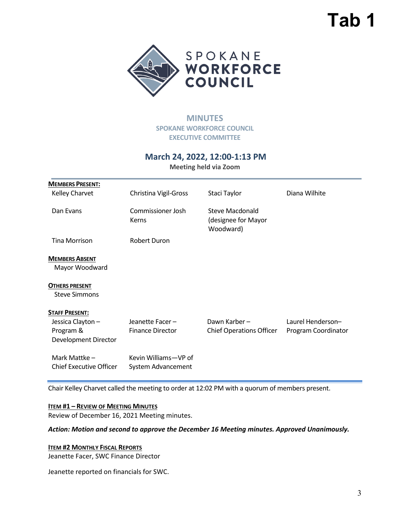## **Tab 1**



## **MINUTES SPOKANE WORKFORCE COUNCIL EXECUTIVE COMMITTEE**

## **March 24, 2022, 12:00-1:13 PM**

**Meeting held via Zoom** 

| <b>MEMBERS PRESENT:</b>                                                        |                                            |                                                     |                                          |
|--------------------------------------------------------------------------------|--------------------------------------------|-----------------------------------------------------|------------------------------------------|
| Kelley Charvet                                                                 | Christina Vigil-Gross                      | Staci Taylor                                        | Diana Wilhite                            |
| Dan Evans                                                                      | Commissioner Josh<br>Kerns                 | Steve Macdonald<br>(designee for Mayor<br>Woodward) |                                          |
| Tina Morrison                                                                  | Robert Duron                               |                                                     |                                          |
| <b>MEMBERS ABSENT</b><br>Mayor Woodward                                        |                                            |                                                     |                                          |
| <b>OTHERS PRESENT</b><br><b>Steve Simmons</b>                                  |                                            |                                                     |                                          |
| <b>STAFF PRESENT:</b><br>Jessica Clayton-<br>Program &<br>Development Director | Jeanette Facer-<br><b>Finance Director</b> | Dawn Karber-<br><b>Chief Operations Officer</b>     | Laurel Henderson-<br>Program Coordinator |
| Mark Mattke -<br><b>Chief Executive Officer</b>                                | Kevin Williams-VP of<br>System Advancement |                                                     |                                          |

Chair Kelley Charvet called the meeting to order at 12:02 PM with a quorum of members present.

#### **ITEM #1 – REVIEW OF MEETING MINUTES**

Review of December 16, 2021 Meeting minutes.

*Action: Motion and second to approve the December 16 Meeting minutes. Approved Unanimously.*

#### **ITEM #2 MONTHLY FISCAL REPORTS**

Jeanette Facer, SWC Finance Director

Jeanette reported on financials for SWC.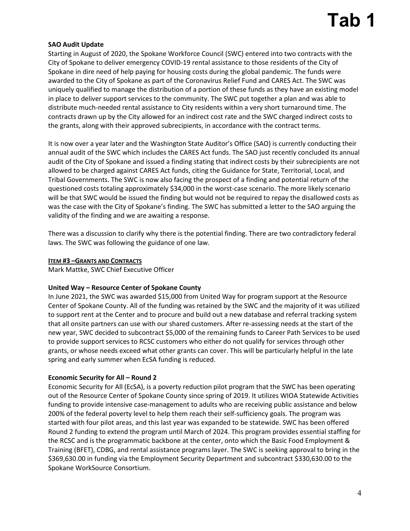## **SAO Audit Update**

Starting in August of 2020, the Spokane Workforce Council (SWC) entered into two contracts with the City of Spokane to deliver emergency COVID-19 rental assistance to those residents of the City of Spokane in dire need of help paying for housing costs during the global pandemic. The funds were awarded to the City of Spokane as part of the Coronavirus Relief Fund and CARES Act. The SWC was uniquely qualified to manage the distribution of a portion of these funds as they have an existing model in place to deliver support services to the community. The SWC put together a plan and was able to distribute much-needed rental assistance to City residents within a very short turnaround time. The contracts drawn up by the City allowed for an indirect cost rate and the SWC charged indirect costs to the grants, along with their approved subrecipients, in accordance with the contract terms.

It is now over a year later and the Washington State Auditor's Office (SAO) is currently conducting their annual audit of the SWC which includes the CARES Act funds. The SAO just recently concluded its annual audit of the City of Spokane and issued a finding stating that indirect costs by their subrecipients are not allowed to be charged against CARES Act funds, citing the Guidance for State, Territorial, Local, and Tribal Governments. The SWC is now also facing the prospect of a finding and potential return of the questioned costs totaling approximately \$34,000 in the worst-case scenario. The more likely scenario will be that SWC would be issued the finding but would not be required to repay the disallowed costs as was the case with the City of Spokane's finding. The SWC has submitted a letter to the SAO arguing the validity of the finding and we are awaiting a response.

There was a discussion to clarify why there is the potential finding. There are two contradictory federal laws. The SWC was following the guidance of one law.

### **ITEM #3 –GRANTS AND CONTRACTS**

Mark Mattke, SWC Chief Executive Officer

### **United Way – Resource Center of Spokane County**

In June 2021, the SWC was awarded \$15,000 from United Way for program support at the Resource Center of Spokane County. All of the funding was retained by the SWC and the majority of it was utilized to support rent at the Center and to procure and build out a new database and referral tracking system that all onsite partners can use with our shared customers. After re-assessing needs at the start of the new year, SWC decided to subcontract \$5,000 of the remaining funds to Career Path Services to be used to provide support services to RCSC customers who either do not qualify for services through other grants, or whose needs exceed what other grants can cover. This will be particularly helpful in the late spring and early summer when EcSA funding is reduced.

### **Economic Security for All – Round 2**

Economic Security for All (EcSA), is a poverty reduction pilot program that the SWC has been operating out of the Resource Center of Spokane County since spring of 2019. It utilizes WIOA Statewide Activities funding to provide intensive case-management to adults who are receiving public assistance and below 200% of the federal poverty level to help them reach their self-sufficiency goals. The program was started with four pilot areas, and this last year was expanded to be statewide. SWC has been offered Round 2 funding to extend the program until March of 2024. This program provides essential staffing for the RCSC and is the programmatic backbone at the center, onto which the Basic Food Employment & Training (BFET), CDBG, and rental assistance programs layer. The SWC is seeking approval to bring in the \$369,630.00 in funding via the Employment Security Department and subcontract \$330,630.00 to the Spokane WorkSource Consortium.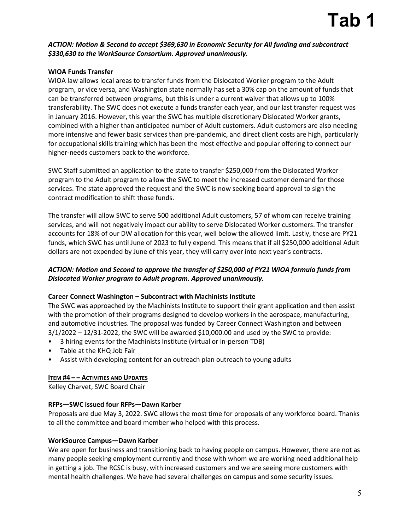## **Tab 1**

## *ACTION: Motion & Second to accept \$369,630 in Economic Security for All funding and subcontract \$330,630 to the WorkSource Consortium. Approved unanimously.*

## **WIOA Funds Transfer**

WIOA law allows local areas to transfer funds from the Dislocated Worker program to the Adult program, or vice versa, and Washington state normally has set a 30% cap on the amount of funds that can be transferred between programs, but this is under a current waiver that allows up to 100% transferability. The SWC does not execute a funds transfer each year, and our last transfer request was in January 2016. However, this year the SWC has multiple discretionary Dislocated Worker grants, combined with a higher than anticipated number of Adult customers. Adult customers are also needing more intensive and fewer basic services than pre-pandemic, and direct client costs are high, particularly for occupational skills training which has been the most effective and popular offering to connect our higher-needs customers back to the workforce.

SWC Staff submitted an application to the state to transfer \$250,000 from the Dislocated Worker program to the Adult program to allow the SWC to meet the increased customer demand for those services. The state approved the request and the SWC is now seeking board approval to sign the contract modification to shift those funds.

The transfer will allow SWC to serve 500 additional Adult customers, 57 of whom can receive training services, and will not negatively impact our ability to serve Dislocated Worker customers. The transfer accounts for 18% of our DW allocation for this year, well below the allowed limit. Lastly, these are PY21 funds, which SWC has until June of 2023 to fully expend. This means that if all \$250,000 additional Adult dollars are not expended by June of this year, they will carry over into next year's contracts.

## *ACTION: Motion and Second to approve the transfer of \$250,000 of PY21 WIOA formula funds from Dislocated Worker program to Adult program. Approved unanimously.*

### **Career Connect Washington – Subcontract with Machinists Institute**

The SWC was approached by the Machinists Institute to support their grant application and then assist with the promotion of their programs designed to develop workers in the aerospace, manufacturing, and automotive industries. The proposal was funded by Career Connect Washington and between 3/1/2022 – 12/31-2022, the SWC will be awarded \$10,000.00 and used by the SWC to provide:

- 3 hiring events for the Machinists Institute (virtual or in-person TDB)
- Table at the KHQ Job Fair
- Assist with developing content for an outreach plan outreach to young adults

## **ITEM #4 – – ACTIVITIES AND UPDATES**

Kelley Charvet, SWC Board Chair

### **RFPs—SWC issued four RFPs—Dawn Karber**

Proposals are due May 3, 2022. SWC allows the most time for proposals of any workforce board. Thanks to all the committee and board member who helped with this process.

### **WorkSource Campus—Dawn Karber**

We are open for business and transitioning back to having people on campus. However, there are not as many people seeking employment currently and those with whom we are working need additional help in getting a job. The RCSC is busy, with increased customers and we are seeing more customers with mental health challenges. We have had several challenges on campus and some security issues.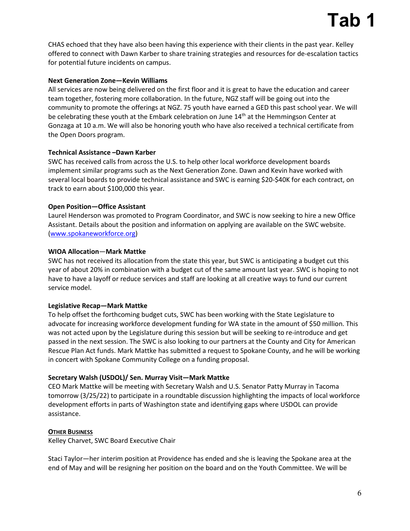# **Tab 1**

CHAS echoed that they have also been having this experience with their clients in the past year. Kelley offered to connect with Dawn Karber to share training strategies and resources for de-escalation tactics for potential future incidents on campus.

### **Next Generation Zone—Kevin Williams**

All services are now being delivered on the first floor and it is great to have the education and career team together, fostering more collaboration. In the future, NGZ staff will be going out into the community to promote the offerings at NGZ. 75 youth have earned a GED this past school year. We will be celebrating these youth at the Embark celebration on June  $14<sup>th</sup>$  at the Hemmingson Center at Gonzaga at 10 a.m. We will also be honoring youth who have also received a technical certificate from the Open Doors program.

## **Technical Assistance –Dawn Karber**

SWC has received calls from across the U.S. to help other local workforce development boards implement similar programs such as the Next Generation Zone. Dawn and Kevin have worked with several local boards to provide technical assistance and SWC is earning \$20-\$40K for each contract, on track to earn about \$100,000 this year.

## **Open Position—Office Assistant**

Laurel Henderson was promoted to Program Coordinator, and SWC is now seeking to hire a new Office Assistant. Details about the position and information on applying are available on the SWC website. [\(www.spokaneworkforce.org\)](http://www.spokaneworkforce.org/)

## **WIOA Allocation**—**Mark Mattke**

SWC has not received its allocation from the state this year, but SWC is anticipating a budget cut this year of about 20% in combination with a budget cut of the same amount last year. SWC is hoping to not have to have a layoff or reduce services and staff are looking at all creative ways to fund our current service model.

## **Legislative Recap—Mark Mattke**

To help offset the forthcoming budget cuts, SWC has been working with the State Legislature to advocate for increasing workforce development funding for WA state in the amount of \$50 million. This was not acted upon by the Legislature during this session but will be seeking to re-introduce and get passed in the next session. The SWC is also looking to our partners at the County and City for American Rescue Plan Act funds. Mark Mattke has submitted a request to Spokane County, and he will be working in concert with Spokane Community College on a funding proposal.

### **Secretary Walsh (USDOL)/ Sen. Murray Visit—Mark Mattke**

CEO Mark Mattke will be meeting with Secretary Walsh and U.S. Senator Patty Murray in Tacoma tomorrow (3/25/22) to participate in a roundtable discussion highlighting the impacts of local workforce development efforts in parts of Washington state and identifying gaps where USDOL can provide assistance.

### **OTHER BUSINESS**

Kelley Charvet, SWC Board Executive Chair

Staci Taylor—her interim position at Providence has ended and she is leaving the Spokane area at the end of May and will be resigning her position on the board and on the Youth Committee. We will be